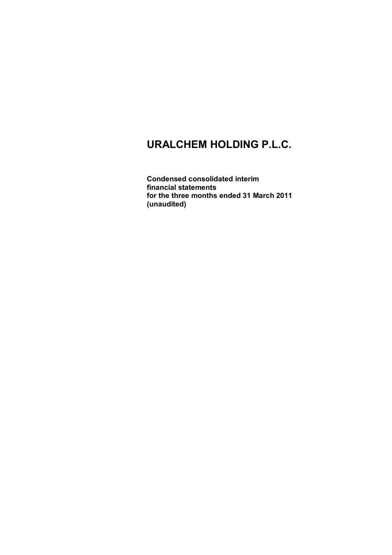**Condensed consolidated interim financial statements for the three months ended 31 March 2011 (unaudited)**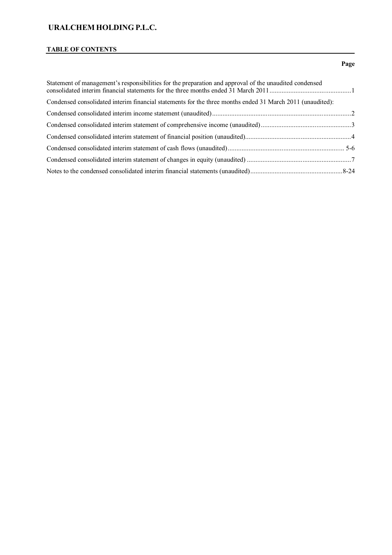# **TABLE OF CONTENTS**

### **Page**

| Statement of management's responsibilities for the preparation and approval of the unaudited condensed    |  |
|-----------------------------------------------------------------------------------------------------------|--|
| Condensed consolidated interim financial statements for the three months ended 31 March 2011 (unaudited): |  |
|                                                                                                           |  |
|                                                                                                           |  |
|                                                                                                           |  |
|                                                                                                           |  |
|                                                                                                           |  |
|                                                                                                           |  |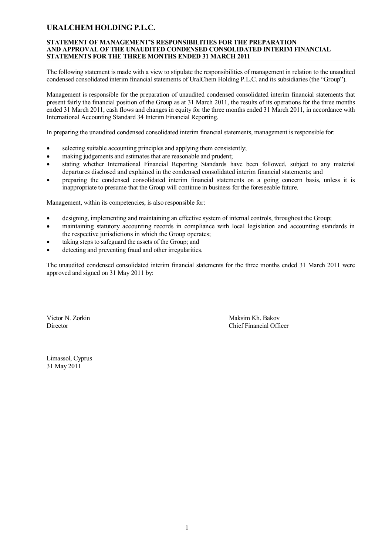#### **STATEMENT OF MANAGEMENT'S RESPONSIBILITIES FOR THE PREPARATION AND APPROVAL OF THE UNAUDITED CONDENSED CONSOLIDATED INTERIM FINANCIAL STATEMENTS FOR THE THREE MONTHS ENDED 31 MARCH 2011**

The following statement is made with a view to stipulate the responsibilities of management in relation to the unaudited condensed consolidated interim financial statements of UralChem Holding P.L.C. and its subsidiaries (the "Group").

Management is responsible for the preparation of unaudited condensed consolidated interim financial statements that present fairly the financial position of the Group as at 31 March 2011, the results of its operations for the three months ended 31 March 2011, cash flows and changes in equity for the three months ended 31 March 2011, in accordance with International Accounting Standard 34 Interim Financial Reporting.

In preparing the unaudited condensed consolidated interim financial statements, management is responsible for:

- selecting suitable accounting principles and applying them consistently;
- making judgements and estimates that are reasonable and prudent;
- stating whether International Financial Reporting Standards have been followed, subject to any material departures disclosed and explained in the condensed consolidated interim financial statements; and
- preparing the condensed consolidated interim financial statements on a going concern basis, unless it is inappropriate to presume that the Group will continue in business for the foreseeable future.

Management, within its competencies, is also responsible for:

- designing, implementing and maintaining an effective system of internal controls, throughout the Group;
- maintaining statutory accounting records in compliance with local legislation and accounting standards in the respective jurisdictions in which the Group operates;
- taking steps to safeguard the assets of the Group; and
- detecting and preventing fraud and other irregularities.

The unaudited condensed consolidated interim financial statements for the three months ended 31 March 2011 were approved and signed on 31 May 2011 by:

\_\_\_\_\_\_\_\_\_\_\_\_\_\_\_\_\_\_\_\_\_\_\_\_\_ \_\_\_\_\_\_\_\_\_\_\_\_\_\_\_\_\_\_\_\_\_\_\_\_\_ Victor N. Zorkin Maksim Kh. Bakov Director Chief Financial Officer

Limassol, Cyprus 31 May 2011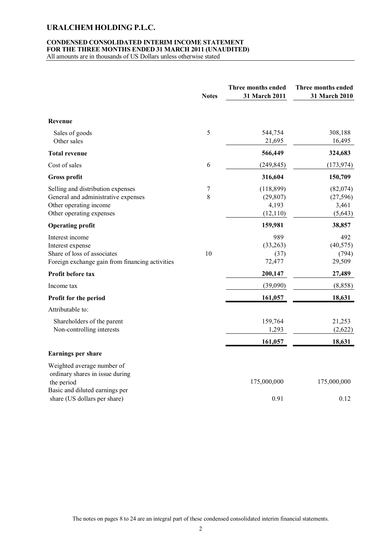#### **CONDENSED CONSOLIDATED INTERIM INCOME STATEMENT FOR THE THREE MONTHS ENDED 31 MARCH 2011 (UNAUDITED)**

All amounts are in thousands of US Dollars unless otherwise stated

|                                                                                                                                | <b>Notes</b> | Three months ended<br>31 March 2011          | Three months ended<br>31 March 2010       |
|--------------------------------------------------------------------------------------------------------------------------------|--------------|----------------------------------------------|-------------------------------------------|
| Revenue                                                                                                                        |              |                                              |                                           |
| Sales of goods<br>Other sales                                                                                                  | 5            | 544,754<br>21,695                            | 308,188<br>16,495                         |
| <b>Total revenue</b>                                                                                                           |              | 566,449                                      | 324,683                                   |
| Cost of sales                                                                                                                  | 6            | (249, 845)                                   | (173, 974)                                |
| <b>Gross profit</b>                                                                                                            |              | 316,604                                      | 150,709                                   |
| Selling and distribution expenses<br>General and administrative expenses<br>Other operating income<br>Other operating expenses | 7<br>8       | (118, 899)<br>(29, 807)<br>4,193<br>(12,110) | (82,074)<br>(27, 596)<br>3,461<br>(5,643) |
| <b>Operating profit</b>                                                                                                        |              | 159,981                                      | 38,857                                    |
| Interest income<br>Interest expense<br>Share of loss of associates<br>Foreign exchange gain from financing activities          | 10           | 989<br>(33, 263)<br>(37)<br>72,477           | 492<br>(40, 575)<br>(794)<br>29,509       |
| Profit before tax                                                                                                              |              | 200,147                                      | 27,489                                    |
| Income tax                                                                                                                     |              | (39,090)                                     | (8, 858)                                  |
| Profit for the period                                                                                                          |              | 161,057                                      | 18,631                                    |
| Attributable to:                                                                                                               |              |                                              |                                           |
| Shareholders of the parent<br>Non-controlling interests                                                                        |              | 159,764<br>1,293                             | 21,253<br>(2,622)                         |
|                                                                                                                                |              | 161,057                                      | 18,631                                    |
| Earnings per share                                                                                                             |              |                                              |                                           |
| Weighted average number of<br>ordinary shares in issue during<br>the period<br>Basic and diluted earnings per                  |              | 175,000,000                                  | 175,000,000                               |
| share (US dollars per share)                                                                                                   |              | 0.91                                         | 0.12                                      |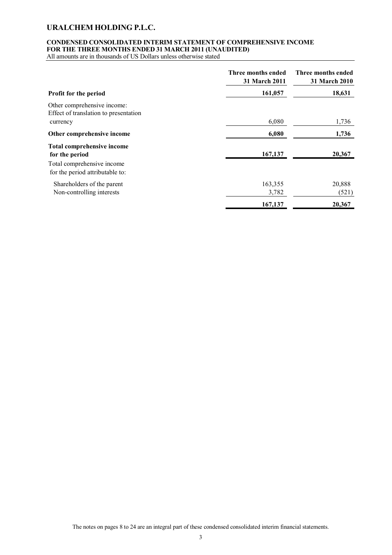### **CONDENSED CONSOLIDATED INTERIM STATEMENT OF COMPREHENSIVE INCOME FOR THE THREE MONTHS ENDED 31 MARCH 2011 (UNAUDITED)**

All amounts are in thousands of US Dollars unless otherwise stated

|                                                                      | Three months ended<br>31 March 2011 | Three months ended<br><b>31 March 2010</b> |
|----------------------------------------------------------------------|-------------------------------------|--------------------------------------------|
| <b>Profit for the period</b>                                         | 161,057                             | 18,631                                     |
| Other comprehensive income:<br>Effect of translation to presentation |                                     |                                            |
| currency                                                             | 6,080                               | 1,736                                      |
| Other comprehensive income                                           | 6,080                               | 1,736                                      |
| <b>Total comprehensive income</b><br>for the period                  | 167,137                             | 20,367                                     |
| Total comprehensive income<br>for the period attributable to:        |                                     |                                            |
| Shareholders of the parent<br>Non-controlling interests              | 163,355<br>3,782                    | 20,888<br>(521)                            |
|                                                                      | 167,137                             | 20,367                                     |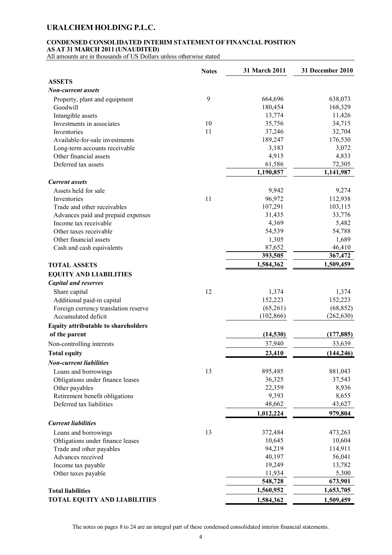### **CONDENSED CONSOLIDATED INTERIM STATEMENT OF FINANCIAL POSITION AS AT 31 MARCH 2011 (UNAUDITED)**

All amounts are in thousands of US Dollars unless otherwise stated

|                                                            | <b>Notes</b> | 31 March 2011   | 31 December 2010 |
|------------------------------------------------------------|--------------|-----------------|------------------|
| <b>ASSETS</b>                                              |              |                 |                  |
| <b>Non-current assets</b>                                  |              |                 |                  |
| Property, plant and equipment                              | 9            | 664,696         | 638,073          |
| Goodwill                                                   |              | 180,454         | 168,329          |
| Intangible assets                                          |              | 13,774          | 11,426           |
| Investments in associates                                  | 10           | 35,756          | 34,715           |
| Inventories                                                | 11           | 37,246          | 32,704           |
| Available-for-sale investments                             |              | 189,247         | 176,530          |
| Long-term accounts receivable                              |              | 3,183           | 3,072            |
| Other financial assets                                     |              | 4,915           | 4,833            |
| Deferred tax assets                                        |              | 61,586          | 72,305           |
|                                                            |              | 1,190,857       | 1,141,987        |
| <b>Current</b> assets                                      |              |                 |                  |
| Assets held for sale                                       |              | 9,942           | 9,274            |
| Inventories                                                | 11           | 96,972          | 112,938          |
| Trade and other receivables                                |              | 107,291         | 103,115          |
| Advances paid and prepaid expenses                         |              | 31,435          | 33,776           |
| Income tax receivable                                      |              | 4,369           | 5,482            |
| Other taxes receivable                                     |              | 54,539          | 54,788           |
| Other financial assets                                     |              | 1,305           | 1,689            |
| Cash and cash equivalents                                  |              | 87,652          | 46,410           |
|                                                            |              | 393,505         | 367,472          |
| <b>TOTAL ASSETS</b>                                        |              | 1,584,362       | 1,509,459        |
| <b>EQUITY AND LIABILITIES</b>                              |              |                 |                  |
| <b>Capital and reserves</b>                                |              |                 |                  |
| Share capital                                              | 12           | 1,374           | 1,374            |
| Additional paid-in capital                                 |              | 152,223         | 152,223          |
| Foreign currency translation reserve                       |              | (65,261)        | (68, 852)        |
| Accumulated deficit                                        |              | (102, 866)      | (262, 630)       |
| <b>Equity attributable to shareholders</b>                 |              |                 |                  |
| of the parent                                              |              | (14, 530)       | (177, 885)       |
| Non-controlling interests                                  |              | 37,940          | 33,639           |
| <b>Total equity</b>                                        |              | 23,410          | (144, 246)       |
| <b>Non-current liabilities</b>                             |              |                 |                  |
|                                                            |              |                 |                  |
| Loans and borrowings                                       | 13           | 895,485         | 881,043          |
| Obligations under finance leases                           |              | 36,325          | 37,543           |
| Other payables                                             |              | 22,359<br>9,393 | 8,936            |
| Retirement benefit obligations<br>Deferred tax liabilities |              | 48,662          | 8,655<br>43,627  |
|                                                            |              |                 |                  |
|                                                            |              | 1,012,224       | 979,804          |
| <b>Current liabilities</b>                                 |              |                 |                  |
| Loans and borrowings                                       | 13           | 372,484         | 473,263          |
| Obligations under finance leases                           |              | 10,645          | 10,604           |
| Trade and other payables                                   |              | 94,219          | 114,911          |
| Advances received                                          |              | 40,197          | 56,041           |
| Income tax payable                                         |              | 19,249          | 13,782           |
| Other taxes payable                                        |              | 11,934          | 5,300            |
|                                                            |              | 548,728         | 673,901          |
| <b>Total liabilities</b>                                   |              | 1,560,952       | 1,653,705        |
| TOTAL EQUITY AND LIABILITIES                               |              | 1,584,362       | 1,509,459        |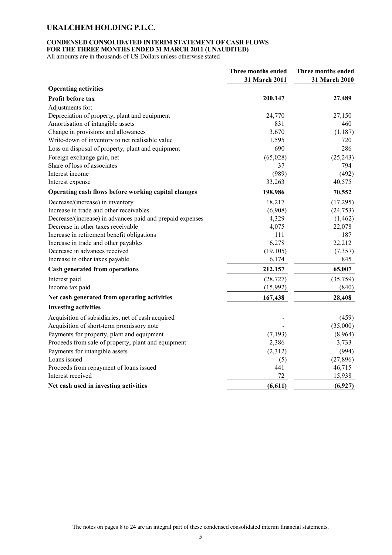### **CONDENSED CONSOLIDATED INTERIM STATEMENT OF CASH FLOWS FOR THE THREE MONTHS ENDED 31 MARCH 2011 (UNAUDITED)**

All amounts are in thousands of US Dollars unless otherwise stated

|                                                           | Three months ended<br>31 March 2011 | Three months ended<br>31 March 2010 |
|-----------------------------------------------------------|-------------------------------------|-------------------------------------|
| <b>Operating activities</b>                               |                                     |                                     |
| Profit before tax                                         | 200,147                             | 27,489                              |
| Adjustments for:                                          |                                     |                                     |
| Depreciation of property, plant and equipment             | 24,770                              | 27,150                              |
| Amortisation of intangible assets                         | 831                                 | 460                                 |
| Change in provisions and allowances                       | 3,670                               | (1, 187)                            |
| Write-down of inventory to net realisable value           | 1,595                               | 720                                 |
| Loss on disposal of property, plant and equipment         | 690                                 | 286                                 |
| Foreign exchange gain, net                                | (65,028)                            | (25, 243)                           |
| Share of loss of associates                               | 37                                  | 794                                 |
| Interest income                                           | (989)                               | (492)                               |
| Interest expense                                          | 33,263                              | 40,575                              |
| Operating cash flows before working capital changes       | 198,986                             | 70,552                              |
| Decrease/(increase) in inventory                          | 18,217                              | (17,295)                            |
| Increase in trade and other receivables                   | (6,908)                             | (24, 753)                           |
| Decrease/(increase) in advances paid and prepaid expenses | 4,329                               | (1, 462)                            |
| Decrease in other taxes receivable                        | 4,075                               | 22,078                              |
| Increase in retirement benefit obligations                | 111                                 | 187                                 |
| Increase in trade and other payables                      | 6,278                               | 22,212                              |
| Decrease in advances received                             | (19, 105)                           | (7,357)                             |
| Increase in other taxes payable                           | 6,174                               | 845                                 |
| <b>Cash generated from operations</b>                     | 212,157                             | 65,007                              |
| Interest paid                                             | (28, 727)                           | (35,759)                            |
| Income tax paid                                           | (15,992)                            | (840)                               |
| Net cash generated from operating activities              | 167,438                             | 28,408                              |
| <b>Investing activities</b>                               |                                     |                                     |
| Acquisition of subsidiaries, net of cash acquired         |                                     | (459)                               |
| Acquisition of short-term promissory note                 |                                     | (35,000)                            |
| Payments for property, plant and equipment                | (7, 193)                            | (8,964)                             |
| Proceeds from sale of property, plant and equipment       | 2,386                               | 3,733                               |
| Payments for intangible assets                            | (2,312)                             | (994)                               |
| Loans issued                                              | (5)                                 | (27, 896)                           |
| Proceeds from repayment of loans issued                   | 441                                 | 46,715                              |
| Interest received                                         | 72                                  | 15,938                              |
| Net cash used in investing activities                     | (6, 611)                            | (6,927)                             |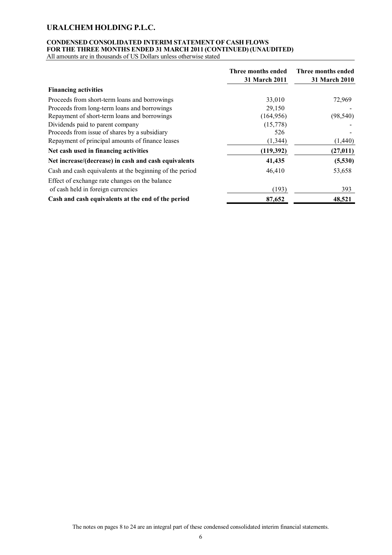# **CONDENSED CONSOLIDATED INTERIM STATEMENT OF CASH FLOWS FOR THE THREE MONTHS ENDED 31 MARCH 2011 (CONTINUED) (UNAUDITED)**

All amounts are in thousands of US Dollars unless otherwise stated

|                                                          | Three months ended<br>31 March 2011 | Three months ended<br>31 March 2010 |
|----------------------------------------------------------|-------------------------------------|-------------------------------------|
| <b>Financing activities</b>                              |                                     |                                     |
| Proceeds from short-term loans and borrowings            | 33,010                              | 72,969                              |
| Proceeds from long-term loans and borrowings             | 29,150                              |                                     |
| Repayment of short-term loans and borrowings             | (164, 956)                          | (98, 540)                           |
| Dividends paid to parent company                         | (15,778)                            |                                     |
| Proceeds from issue of shares by a subsidiary            | 526                                 |                                     |
| Repayment of principal amounts of finance leases         | (1, 344)                            | (1,440)                             |
| Net cash used in financing activities                    | (119,392)                           | (27, 011)                           |
| Net increase/(decrease) in cash and cash equivalents     | 41,435                              | (5,530)                             |
| Cash and cash equivalents at the beginning of the period | 46,410                              | 53,658                              |
| Effect of exchange rate changes on the balance           |                                     |                                     |
| of cash held in foreign currencies                       | (193)                               | 393                                 |
| Cash and cash equivalents at the end of the period       | 87,652                              | 48,521                              |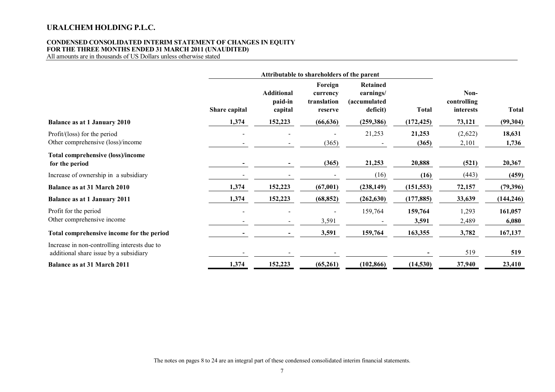#### **CONDENSED CONSOLIDATED INTERIM STATEMENT OF CHANGES IN EQUITY FOR THE THREE MONTHS ENDED 31 MARCH 2011 (UNAUDITED)**

All amounts are in thousands of US Dollars unless otherwise stated

|                                                                                        |               | Attributable to shareholders of the parent |                                               |                                                          |                  |                                  |                  |
|----------------------------------------------------------------------------------------|---------------|--------------------------------------------|-----------------------------------------------|----------------------------------------------------------|------------------|----------------------------------|------------------|
|                                                                                        | Share capital | <b>Additional</b><br>paid-in<br>capital    | Foreign<br>currency<br>translation<br>reserve | <b>Retained</b><br>earnings/<br>(accumulated<br>deficit) | <b>Total</b>     | Non-<br>controlling<br>interests | <b>Total</b>     |
| <b>Balance as at 1 January 2010</b>                                                    | 1,374         | 152,223                                    | (66, 636)                                     | (259, 386)                                               | (172, 425)       | 73,121                           | (99, 304)        |
| Profit/(loss) for the period<br>Other comprehensive (loss)/income                      |               |                                            | (365)                                         | 21,253                                                   | 21,253<br>(365)  | (2,622)<br>2,101                 | 18,631<br>1,736  |
| <b>Total comprehensive (loss)/income</b><br>for the period                             |               |                                            | (365)                                         | 21,253                                                   | 20,888           | (521)                            | 20,367           |
| Increase of ownership in a subsidiary                                                  |               |                                            |                                               | (16)                                                     | (16)             | (443)                            | (459)            |
| <b>Balance as at 31 March 2010</b>                                                     | 1,374         | 152,223                                    | (67,001)                                      | (238, 149)                                               | (151, 553)       | 72,157                           | (79, 396)        |
| <b>Balance as at 1 January 2011</b>                                                    | 1,374         | 152,223                                    | (68, 852)                                     | (262, 630)                                               | (177, 885)       | 33,639                           | (144, 246)       |
| Profit for the period<br>Other comprehensive income                                    |               |                                            | 3,591                                         | 159,764                                                  | 159,764<br>3,591 | 1,293<br>2,489                   | 161,057<br>6,080 |
| Total comprehensive income for the period                                              |               |                                            | 3,591                                         | 159,764                                                  | 163,355          | 3,782                            | 167,137          |
| Increase in non-controlling interests due to<br>additional share issue by a subsidiary |               |                                            |                                               |                                                          |                  | 519                              | 519              |
| Balance as at 31 March 2011                                                            | 1,374         | 152,223                                    | (65,261)                                      | (102, 866)                                               | (14, 530)        | 37,940                           | 23,410           |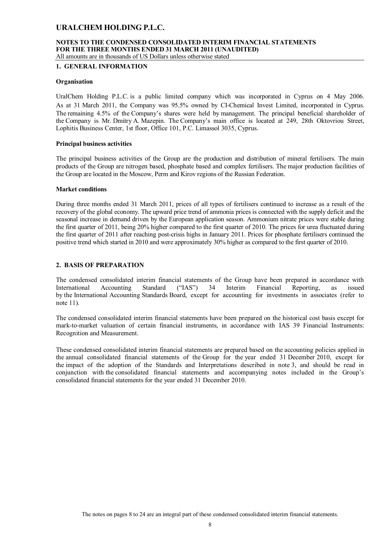#### **NOTES TO THE CONDENSED CONSOLIDATED INTERIM FINANCIAL STATEMENTS FOR THE THREE MONTHS ENDED 31 MARCH 2011 (UNAUDITED)** All amounts are in thousands of US Dollars unless otherwise stated

# **1. GENERAL INFORMATION**

#### **Organisation**

UralChem Holding P.L.C. is a public limited company which was incorporated in Cyprus on 4 May 2006. As at 31 March 2011, the Company was 95.5% owned by CI-Chemical Invest Limited, incorporated in Cyprus. The remaining 4.5% of the Company's shares were held by management. The principal beneficial shareholder of the Company is Mr. Dmitry A. Mazepin. The Company's main office is located at 249, 28th Oktovriou Street, Lophitis Business Center, 1st floor, Office 101, P.C. Limassol 3035, Cyprus.

#### **Principal business activities**

The principal business activities of the Group are the production and distribution of mineral fertilisers. The main products of the Group are nitrogen based, phosphate based and complex fertilisers. The major production facilities of the Group are located in the Moscow, Perm and Kirov regions of the Russian Federation.

#### **Market conditions**

During three months ended 31 March 2011, prices of all types of fertilisers continued to increase as a result of the recovery of the global economy. The upward price trend of ammonia prices is connected with the supply deficit and the seasonal increase in demand driven by the European application season. Ammonium nitrate prices were stable during the first quarter of 2011, being 20% higher compared to the first quarter of 2010. The prices for urea fluctuated during the first quarter of 2011 after reaching post-crisis highs in January 2011. Prices for phosphate fertilisers continued the positive trend which started in 2010 and were approximately 30% higher as compared to the first quarter of 2010.

#### **2. BASIS OF PREPARATION**

The condensed consolidated interim financial statements of the Group have been prepared in accordance with International Accounting Standard ("IAS") 34 Interim Financial Reporting, as issued by the International Accounting Standards Board, except for accounting for investments in associates (refer to note 11).

The condensed consolidated interim financial statements have been prepared on the historical cost basis except for mark-to-market valuation of certain financial instruments, in accordance with IAS 39 Financial Instruments: Recognition and Measurement.

These condensed consolidated interim financial statements are prepared based on the accounting policies applied in the annual consolidated financial statements of the Group for the year ended 31 December 2010, except for the impact of the adoption of the Standards and Interpretations described in note 3, and should be read in conjunction with the consolidated financial statements and accompanying notes included in the Group's consolidated financial statements for the year ended 31 December 2010.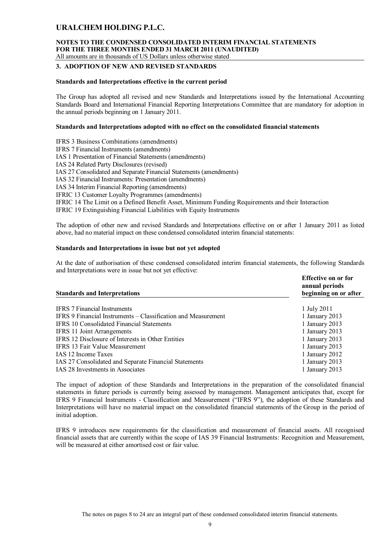#### **NOTES TO THE CONDENSED CONSOLIDATED INTERIM FINANCIAL STATEMENTS FOR THE THREE MONTHS ENDED 31 MARCH 2011 (UNAUDITED)** All amounts are in thousands of US Dollars unless otherwise stated

#### **3. ADOPTION OF NEW AND REVISED STANDARDS**

#### **Standards and Interpretations effective in the current period**

The Group has adopted all revised and new Standards and Interpretations issued by the International Accounting Standards Board and International Financial Reporting Interpretations Committee that are mandatory for adoption in the annual periods beginning on 1 January 2011.

#### **Standards and Interpretations adopted with no effect on the consolidated financial statements**

IFRS 3 Business Combinations (amendments) IFRS 7 Financial Instruments (amendments) IAS 1 Presentation of Financial Statements (amendments) IAS 24 Related Party Disclosures (revised) IAS 27 Consolidated and Separate Financial Statements (amendments) IAS 32 Financial Instruments: Presentation (amendments) IAS 34 Interim Financial Reporting (amendments) IFRIC 13 Customer Loyalty Programmes (amendments) IFRIC 14 The Limit on a Defined Benefit Asset, Minimum Funding Requirements and their Interaction IFRIC 19 Extinguishing Financial Liabilities with Equity Instruments

The adoption of other new and revised Standards and Interpretations effective on or after 1 January 2011 as listed above, had no material impact on these condensed consolidated interim financial statements:

#### **Standards and Interpretations in issue but not yet adopted**

At the date of authorisation of these condensed consolidated interim financial statements, the following Standards and Interpretations were in issue but not yet effective:

| <b>Standards and Interpretations</b>                          | <b>Effective on or for</b><br>annual periods<br>beginning on or after |
|---------------------------------------------------------------|-----------------------------------------------------------------------|
|                                                               |                                                                       |
| <b>IFRS 7 Financial Instruments</b>                           | 1 July 2011                                                           |
| IFRS 9 Financial Instruments – Classification and Measurement | 1 January 2013                                                        |
| <b>IFRS 10 Consolidated Financial Statements</b>              | 1 January 2013                                                        |
| IFRS 11 Joint Arrangements                                    | 1 January 2013                                                        |
| IFRS 12 Disclosure of Interests in Other Entities             | 1 January 2013                                                        |
| IFRS 13 Fair Value Measurement                                | 1 January 2013                                                        |
| <b>IAS</b> 12 Income Taxes                                    | 1 January 2012                                                        |
| IAS 27 Consolidated and Separate Financial Statements         | 1 January 2013                                                        |
| IAS 28 Investments in Associates                              | 1 January 2013                                                        |
|                                                               |                                                                       |

The impact of adoption of these Standards and Interpretations in the preparation of the consolidated financial statements in future periods is currently being assessed by management. Management anticipates that, except for IFRS 9 Financial Instruments - Classification and Measurement ("IFRS 9"), the adoption of these Standards and Interpretations will have no material impact on the consolidated financial statements of the Group in the period of initial adoption.

IFRS 9 introduces new requirements for the classification and measurement of financial assets. All recognised financial assets that are currently within the scope of IAS 39 Financial Instruments: Recognition and Measurement, will be measured at either amortised cost or fair value.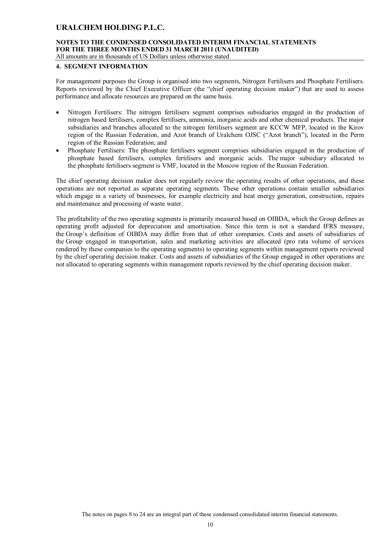# **NOTES TO THE CONDENSED CONSOLIDATED INTERIM FINANCIAL STATEMENTS FOR THE THREE MONTHS ENDED 31 MARCH 2011 (UNAUDITED)**

All amounts are in thousands of US Dollars unless otherwise stated

#### **4. SEGMENT INFORMATION**

For management purposes the Group is organised into two segments, Nitrogen Fertilisers and Phosphate Fertilisers. Reports reviewed by the Chief Executive Officer (the "chief operating decision maker") that are used to assess performance and allocate resources are prepared on the same basis.

- Nitrogen Fertilisers: The nitrogen fertilisers segment comprises subsidiaries engaged in the production of nitrogen based fertilisers, complex fertilisers, ammonia, inorganic acids and other chemical products. The major subsidiaries and branches allocated to the nitrogen fertilisers segment are KCCW MFP, located in the Kirov region of the Russian Federation, and Azot branch of Uralchem OJSC ("Azot branch"), located in the Perm region of the Russian Federation; and
- Phosphate Fertilisers: The phosphate fertilisers segment comprises subsidiaries engaged in the production of phosphate based fertilisers, complex fertilisers and inorganic acids. The major subsidiary allocated to the phosphate fertilisers segment is VMF, located in the Moscow region of the Russian Federation.

The chief operating decision maker does not regularly review the operating results of other operations, and these operations are not reported as separate operating segments. These other operations contain smaller subsidiaries which engage in a variety of businesses, for example electricity and heat energy generation, construction, repairs and maintenance and processing of waste water.

The profitability of the two operating segments is primarily measured based on OIBDA, which the Group defines as operating profit adjusted for depreciation and amortisation. Since this term is not a standard IFRS measure, the Group's definition of OIBDA may differ from that of other companies. Costs and assets of subsidiaries of the Group engaged in transportation, sales and marketing activities are allocated (pro rata volume of services rendered by these companies to the operating segments) to operating segments within management reports reviewed by the chief operating decision maker. Costs and assets of subsidiaries of the Group engaged in other operations are not allocated to operating segments within management reports reviewed by the chief operating decision maker.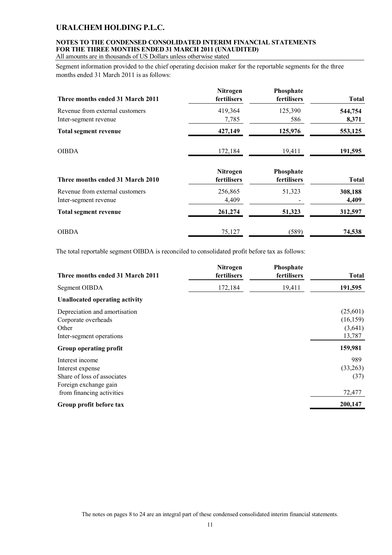## **NOTES TO THE CONDENSED CONSOLIDATED INTERIM FINANCIAL STATEMENTS FOR THE THREE MONTHS ENDED 31 MARCH 2011 (UNAUDITED)**

All amounts are in thousands of US Dollars unless otherwise stated

Segment information provided to the chief operating decision maker for the reportable segments for the three months ended 31 March 2011 is as follows:

| Three months ended 31 March 2011                         | Nitrogen<br>fertilisers | Phosphate<br>fertilisers | <b>Total</b>     |
|----------------------------------------------------------|-------------------------|--------------------------|------------------|
| Revenue from external customers<br>Inter-segment revenue | 419,364<br>7,785        | 125,390<br>586           | 544,754<br>8,371 |
| <b>Total segment revenue</b>                             | 427,149                 | 125,976                  | 553,125          |
| <b>OIBDA</b>                                             | 172,184                 | 19,411                   | 191,595          |
| Three months ended 31 March 2010                         | Nitrogen<br>fertilisers | Phosphate<br>fertilisers | <b>Total</b>     |
| Revenue from external customers<br>Inter-segment revenue | 256,865<br>4,409        | 51,323                   | 308,188<br>4,409 |
| <b>Total segment revenue</b>                             | 261,274                 | 51,323                   | 312,597          |
| <b>OIBDA</b>                                             | 75,127                  | (589)                    | 74,538           |

The total reportable segment OIBDA is reconciled to consolidated profit before tax as follows:

| Three months ended 31 March 2011                                                            | Nitrogen<br>fertilisers | Phosphate<br>fertilisers | <b>Total</b>                               |
|---------------------------------------------------------------------------------------------|-------------------------|--------------------------|--------------------------------------------|
| Segment OIBDA                                                                               | 172,184                 | 19,411                   | 191,595                                    |
| <b>Unallocated operating activity</b>                                                       |                         |                          |                                            |
| Depreciation and amortisation<br>Corporate overheads<br>Other<br>Inter-segment operations   |                         |                          | (25,601)<br>(16, 159)<br>(3,641)<br>13,787 |
| Group operating profit                                                                      |                         |                          | 159,981                                    |
| Interest income<br>Interest expense<br>Share of loss of associates<br>Foreign exchange gain |                         |                          | 989<br>(33,263)<br>(37)<br>72,477          |
| from financing activities<br>Group profit before tax                                        |                         |                          | 200,147                                    |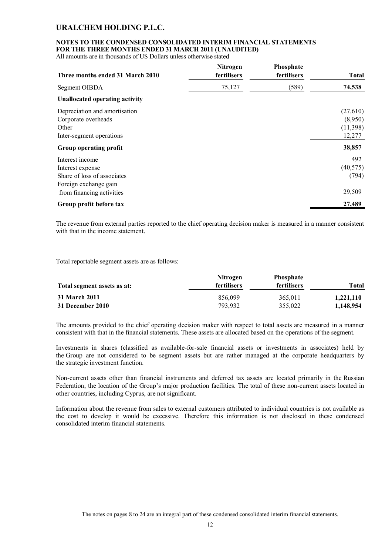### **NOTES TO THE CONDENSED CONSOLIDATED INTERIM FINANCIAL STATEMENTS FOR THE THREE MONTHS ENDED 31 MARCH 2011 (UNAUDITED)**

All amounts are in thousands of US Dollars unless otherwise stated

| Three months ended 31 March 2010                                                                                         | Nitrogen<br>fertilisers | Phosphate<br>fertilisers | <b>Total</b>                              |
|--------------------------------------------------------------------------------------------------------------------------|-------------------------|--------------------------|-------------------------------------------|
| Segment OIBDA                                                                                                            | 75,127                  | (589)                    | 74,538                                    |
| <b>Unallocated operating activity</b>                                                                                    |                         |                          |                                           |
| Depreciation and amortisation<br>Corporate overheads<br>Other<br>Inter-segment operations                                |                         |                          | (27,610)<br>(8,950)<br>(11,398)<br>12,277 |
| Group operating profit                                                                                                   |                         |                          | 38,857                                    |
| Interest income<br>Interest expense<br>Share of loss of associates<br>Foreign exchange gain<br>from financing activities |                         |                          | 492<br>(40, 575)<br>(794)<br>29,509       |
| Group profit before tax                                                                                                  |                         |                          | 27,489                                    |

The revenue from external parties reported to the chief operating decision maker is measured in a manner consistent with that in the income statement.

Total reportable segment assets are as follows:

|                             | <b>Nitrogen</b>    | <b>Phosphate</b> |           |
|-----------------------------|--------------------|------------------|-----------|
| Total segment assets as at: | <b>fertilisers</b> | fertilisers      | Total     |
| 31 March 2011               | 856.099            | 365.011          | 1,221,110 |
| 31 December 2010            | 793.932            | 355,022          | 1,148,954 |

The amounts provided to the chief operating decision maker with respect to total assets are measured in a manner consistent with that in the financial statements. These assets are allocated based on the operations of the segment.

Investments in shares (classified as available-for-sale financial assets or investments in associates) held by the Group are not considered to be segment assets but are rather managed at the corporate headquarters by the strategic investment function.

Non-current assets other than financial instruments and deferred tax assets are located primarily in the Russian Federation, the location of the Group's major production facilities. The total of these non-current assets located in other countries, including Cyprus, are not significant.

Information about the revenue from sales to external customers attributed to individual countries is not available as the cost to develop it would be excessive. Therefore this information is not disclosed in these condensed consolidated interim financial statements.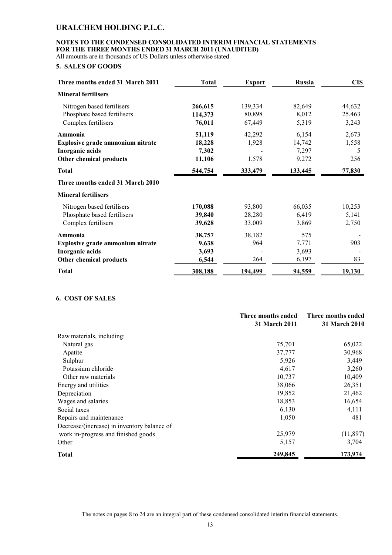# **NOTES TO THE CONDENSED CONSOLIDATED INTERIM FINANCIAL STATEMENTS FOR THE THREE MONTHS ENDED 31 MARCH 2011 (UNAUDITED)**

All amounts are in thousands of US Dollars unless otherwise stated

### **5. SALES OF GOODS**

| Three months ended 31 March 2011 | <b>Total</b> | <b>Export</b> | <b>Russia</b> | <b>CIS</b> |
|----------------------------------|--------------|---------------|---------------|------------|
| <b>Mineral fertilisers</b>       |              |               |               |            |
| Nitrogen based fertilisers       | 266,615      | 139,334       | 82,649        | 44,632     |
| Phosphate based fertilisers      | 114,373      | 80,898        | 8,012         | 25,463     |
| Complex fertilisers              | 76,011       | 67,449        | 5,319         | 3,243      |
| Ammonia                          | 51,119       | 42,292        | 6,154         | 2,673      |
| Explosive grade ammonium nitrate | 18,228       | 1,928         | 14,742        | 1,558      |
| Inorganic acids                  | 7,302        |               | 7,297         | 5          |
| Other chemical products          | 11,106       | 1,578         | 9,272         | 256        |
| <b>Total</b>                     | 544,754      | 333,479       | 133,445       | 77,830     |
| Three months ended 31 March 2010 |              |               |               |            |
| <b>Mineral fertilisers</b>       |              |               |               |            |
| Nitrogen based fertilisers       | 170,088      | 93,800        | 66,035        | 10,253     |
| Phosphate based fertilisers      | 39,840       | 28,280        | 6,419         | 5,141      |
| Complex fertilisers              | 39,628       | 33,009        | 3,869         | 2,750      |
| Ammonia                          | 38,757       | 38,182        | 575           |            |
| Explosive grade ammonium nitrate | 9,638        | 964           | 7,771         | 903        |
| Inorganic acids                  | 3,693        |               | 3,693         |            |
| Other chemical products          | 6,544        | 264           | 6,197         | 83         |
| <b>Total</b>                     | 308,188      | 194,499       | 94,559        | 19,130     |

### **6. COST OF SALES**

|                                             | Three months ended   | Three months ended   |
|---------------------------------------------|----------------------|----------------------|
|                                             | <b>31 March 2011</b> | <b>31 March 2010</b> |
| Raw materials, including:                   |                      |                      |
| Natural gas                                 | 75,701               | 65,022               |
| Apatite                                     | 37,777               | 30,968               |
| Sulphur                                     | 5,926                | 3,449                |
| Potassium chloride                          | 4,617                | 3,260                |
| Other raw materials                         | 10,737               | 10,409               |
| Energy and utilities                        | 38,066               | 26,351               |
| Depreciation                                | 19,852               | 21,462               |
| Wages and salaries                          | 18,853               | 16,654               |
| Social taxes                                | 6,130                | 4,111                |
| Repairs and maintenance                     | 1,050                | 481                  |
| Decrease/(increase) in inventory balance of |                      |                      |
| work in-progress and finished goods         | 25,979               | (11,897)             |
| Other                                       | 5,157                | 3,704                |
| <b>Total</b>                                | 249,845              | 173,974              |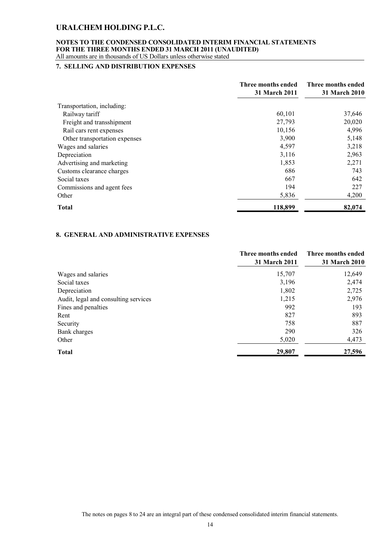#### **NOTES TO THE CONDENSED CONSOLIDATED INTERIM FINANCIAL STATEMENTS FOR THE THREE MONTHS ENDED 31 MARCH 2011 (UNAUDITED)** All amounts are in thousands of US Dollars unless otherwise stated

#### **7. SELLING AND DISTRIBUTION EXPENSES**

|                               | Three months ended<br><b>31 March 2011</b> | Three months ended<br>31 March 2010 |
|-------------------------------|--------------------------------------------|-------------------------------------|
| Transportation, including:    |                                            |                                     |
| Railway tariff                | 60,101                                     | 37,646                              |
| Freight and transshipment     | 27,793                                     | 20,020                              |
| Rail cars rent expenses       | 10,156                                     | 4,996                               |
| Other transportation expenses | 3,900                                      | 5,148                               |
| Wages and salaries            | 4,597                                      | 3,218                               |
| Depreciation                  | 3,116                                      | 2,963                               |
| Advertising and marketing     | 1,853                                      | 2,271                               |
| Customs clearance charges     | 686                                        | 743                                 |
| Social taxes                  | 667                                        | 642                                 |
| Commissions and agent fees    | 194                                        | 227                                 |
| Other                         | 5,836                                      | 4,200                               |
| <b>Total</b>                  | 118,899                                    | 82,074                              |

### **8. GENERAL AND ADMINISTRATIVE EXPENSES**

|                                      | Three months ended | Three months ended |
|--------------------------------------|--------------------|--------------------|
|                                      | 31 March 2011      | 31 March 2010      |
| Wages and salaries                   | 15,707             | 12,649             |
| Social taxes                         | 3,196              | 2,474              |
| Depreciation                         | 1,802              | 2,725              |
| Audit, legal and consulting services | 1,215              | 2,976              |
| Fines and penalties                  | 992                | 193                |
| Rent                                 | 827                | 893                |
| Security                             | 758                | 887                |
| Bank charges                         | 290                | 326                |
| Other                                | 5,020              | 4,473              |
| <b>Total</b>                         | 29,807             | 27,596             |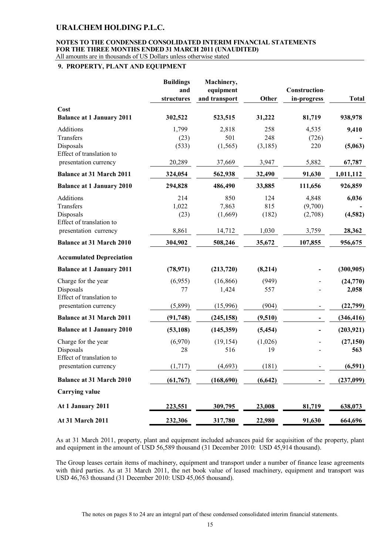#### **NOTES TO THE CONDENSED CONSOLIDATED INTERIM FINANCIAL STATEMENTS FOR THE THREE MONTHS ENDED 31 MARCH 2011 (UNAUDITED)** All amounts are in thousands of US Dollars unless otherwise stated

#### **9. PROPERTY, PLANT AND EQUIPMENT**

|                                                   | <b>Buildings</b><br>and<br>structures | Machinery,<br>equipment<br>and transport | Other    | <b>Construction</b><br>in-progress | <b>Total</b> |
|---------------------------------------------------|---------------------------------------|------------------------------------------|----------|------------------------------------|--------------|
| Cost<br><b>Balance at 1 January 2011</b>          | 302,522                               | 523,515                                  | 31,222   | 81,719                             | 938,978      |
| Additions                                         | 1,799                                 | 2,818                                    | 258      | 4,535                              | 9,410        |
| Transfers                                         | (23)                                  | 501                                      | 248      | (726)                              |              |
| Disposals<br>Effect of translation to             | (533)                                 | (1, 565)                                 | (3,185)  | 220                                | (5,063)      |
| presentation currency                             | 20,289                                | 37,669                                   | 3,947    | 5,882                              | 67,787       |
| <b>Balance at 31 March 2011</b>                   | 324,054                               | 562,938                                  | 32,490   | 91,630                             | 1,011,112    |
| <b>Balance at 1 January 2010</b>                  | 294,828                               | 486,490                                  | 33,885   | 111,656                            | 926,859      |
| Additions                                         | 214                                   | 850                                      | 124      | 4,848                              | 6,036        |
| Transfers                                         | 1,022                                 | 7,863                                    | 815      | (9,700)                            |              |
| Disposals                                         | (23)                                  | (1,669)                                  | (182)    | (2,708)                            | (4,582)      |
| Effect of translation to<br>presentation currency | 8,861                                 | 14,712                                   | 1,030    | 3,759                              | 28,362       |
| <b>Balance at 31 March 2010</b>                   | 304,902                               | 508,246                                  | 35,672   | 107,855                            | 956,675      |
| <b>Accumulated Depreciation</b>                   |                                       |                                          |          |                                    |              |
| <b>Balance at 1 January 2011</b>                  | (78, 971)                             | (213, 720)                               | (8,214)  |                                    | (300, 905)   |
| Charge for the year                               | (6,955)                               | (16, 866)                                | (949)    |                                    | (24,770)     |
| Disposals<br>Effect of translation to             | 77                                    | 1,424                                    | 557      |                                    | 2,058        |
| presentation currency                             | (5,899)                               | (15,996)                                 | (904)    |                                    | (22,799)     |
| <b>Balance at 31 March 2011</b>                   | (91, 748)                             | (245, 158)                               | (9,510)  |                                    | (346, 416)   |
| <b>Balance at 1 January 2010</b>                  | (53, 108)                             | (145, 359)                               | (5, 454) |                                    | (203, 921)   |
| Charge for the year                               | (6,970)                               | (19, 154)                                | (1,026)  |                                    | (27, 150)    |
| Disposals<br>Effect of translation to             | 28                                    | 516                                      | 19       |                                    | 563          |
| presentation currency                             | (1,717)                               | (4,693)                                  | (181)    |                                    | (6,591)      |
| <b>Balance at 31 March 2010</b>                   | (61, 767)                             | (168, 690)                               | (6, 642) |                                    | (237,099)    |
| <b>Carrying value</b>                             |                                       |                                          |          |                                    |              |
| At 1 January 2011                                 | 223,551                               | 309,795                                  | 23,008   | 81,719                             | 638,073      |
| At 31 March 2011                                  | 232,306                               | 317,780                                  | 22,980   | 91,630                             | 664,696      |

As at 31 March 2011, property, plant and equipment included advances paid for acquisition of the property, plant and equipment in the amount of USD 56,589 thousand (31 December 2010: USD 45,914 thousand).

The Group leases certain items of machinery, equipment and transport under a number of finance lease agreements with third parties. As at 31 March 2011, the net book value of leased machinery, equipment and transport was USD 46,763 thousand (31 December 2010: USD 45,065 thousand).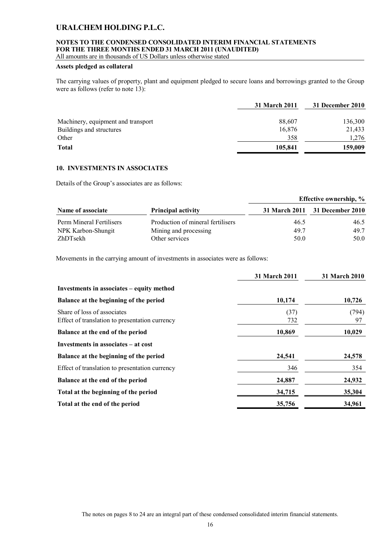### **NOTES TO THE CONDENSED CONSOLIDATED INTERIM FINANCIAL STATEMENTS FOR THE THREE MONTHS ENDED 31 MARCH 2011 (UNAUDITED)**

All amounts are in thousands of US Dollars unless otherwise stated

### **Assets pledged as collateral**

The carrying values of property, plant and equipment pledged to secure loans and borrowings granted to the Group were as follows (refer to note 13):

|                                    | 31 March 2011 | 31 December 2010 |
|------------------------------------|---------------|------------------|
|                                    |               |                  |
| Machinery, equipment and transport | 88,607        | 136,300          |
| Buildings and structures           | 16,876        | 21,433           |
| Other                              | 358           | 1,276            |
| <b>Total</b>                       | 105,841       | 159,009          |

#### **10. INVESTMENTS IN ASSOCIATES**

Details of the Group's associates are as follows:

|                          |                                   |      | <b>Effective ownership, %</b>  |
|--------------------------|-----------------------------------|------|--------------------------------|
| Name of associate        | <b>Principal activity</b>         |      | 31 March 2011 31 December 2010 |
| Perm Mineral Fertilisers | Production of mineral fertilisers | 46.5 | 46.5                           |
| NPK Karbon-Shungit       | Mining and processing             | 49.7 | 49.7                           |
| ZhDTsekh                 | Other services                    | 50.0 | 50.0                           |

Movements in the carrying amount of investments in associates were as follows:

|                                                                               | <b>31 March 2011</b> | <b>31 March 2010</b> |
|-------------------------------------------------------------------------------|----------------------|----------------------|
| Investments in associates – equity method                                     |                      |                      |
| Balance at the beginning of the period                                        | 10,174               | 10,726               |
| Share of loss of associates<br>Effect of translation to presentation currency | (37)<br>732          | (794)<br>97          |
| Balance at the end of the period                                              | 10,869               | 10,029               |
| Investments in associates – at cost                                           |                      |                      |
| Balance at the beginning of the period                                        | 24,541               | 24,578               |
| Effect of translation to presentation currency                                | 346                  | 354                  |
| Balance at the end of the period                                              | 24,887               | 24,932               |
| Total at the beginning of the period                                          | 34,715               | 35,304               |
| Total at the end of the period                                                | 35,756               | 34,961               |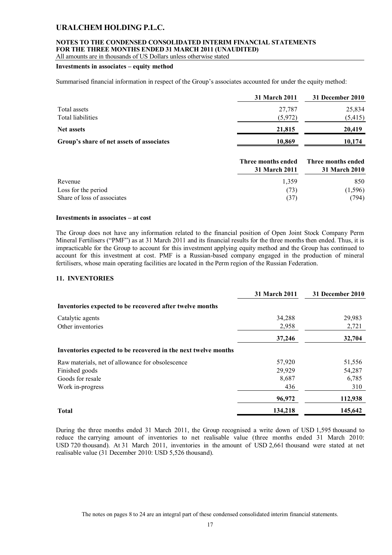### **NOTES TO THE CONDENSED CONSOLIDATED INTERIM FINANCIAL STATEMENTS FOR THE THREE MONTHS ENDED 31 MARCH 2011 (UNAUDITED)**

All amounts are in thousands of US Dollars unless otherwise stated

#### **Investments in associates – equity method**

Summarised financial information in respect of the Group's associates accounted for under the equity method:

|                                           | 31 March 2011 | 31 December 2010 |
|-------------------------------------------|---------------|------------------|
| Total assets                              | 27,787        | 25,834           |
| Total liabilities                         | (5,972)       | (5, 415)         |
| <b>Net assets</b>                         | 21,815        | 20,419           |
| Group's share of net assets of associates | 10,869        | 10,174           |
|                                           |               |                  |

|                             | Three months ended<br>31 March 2011 | Three months ended<br>31 March 2010 |
|-----------------------------|-------------------------------------|-------------------------------------|
| Revenue                     | 1.359                               | 850                                 |
| Loss for the period         | (73)                                | (1, 596)                            |
| Share of loss of associates | (37)                                | (794)                               |

#### **Investments in associates – at cost**

The Group does not have any information related to the financial position of Open Joint Stock Company Perm Mineral Fertilisers ("PMF") as at 31 March 2011 and its financial results for the three months then ended. Thus, it is impracticable for the Group to account for this investment applying equity method and the Group has continued to account for this investment at cost. PMF is a Russian-based company engaged in the production of mineral fertilisers, whose main operating facilities are located in the Perm region of the Russian Federation.

### **11. INVENTORIES**

|                                                                | 31 March 2011 | 31 December 2010 |
|----------------------------------------------------------------|---------------|------------------|
| Inventories expected to be recovered after twelve months       |               |                  |
| Catalytic agents                                               | 34,288        | 29,983           |
| Other inventories                                              | 2,958         | 2,721            |
|                                                                | 37,246        | 32,704           |
| Inventories expected to be recovered in the next twelve months |               |                  |
| Raw materials, net of allowance for obsolescence               | 57,920        | 51,556           |
| Finished goods                                                 | 29,929        | 54,287           |
| Goods for resale                                               | 8,687         | 6,785            |
| Work in-progress                                               | 436           | 310              |
|                                                                | 96,972        | 112,938          |
| <b>Total</b>                                                   | 134,218       | 145,642          |

During the three months ended 31 March 2011, the Group recognised a write down of USD 1,595 thousand to reduce the carrying amount of inventories to net realisable value (three months ended 31 March 2010: USD 720 thousand). At 31 March 2011, inventories in the amount of USD 2,661 thousand were stated at net realisable value (31 December 2010: USD 5,526 thousand).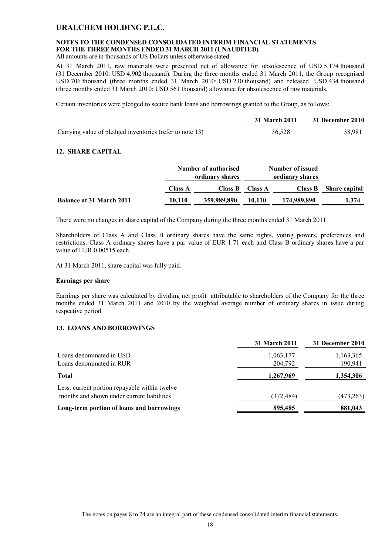### **NOTES TO THE CONDENSED CONSOLIDATED INTERIM FINANCIAL STATEMENTS FOR THE THREE MONTHS ENDED 31 MARCH 2011 (UNAUDITED)**

All amounts are in thousands of US Dollars unless otherwise stated

At 31 March 2011, raw materials were presented net of allowance for obsolescence of USD 5,174 thousand (31 December 2010: USD 4,902 thousand). During the three months ended 31 March 2011, the Group recognised USD 706 thousand (three months ended 31 March 2010: USD 230 thousand) and released USD 434 thousand (three months ended 31 March 2010: USD 561 thousand) allowance for obsolescence of raw materials.

Certain inventories were pledged to secure bank loans and borrowings granted to the Group, as follows:

|                                                          | 31 March 2011 | 31 December 2010 |
|----------------------------------------------------------|---------------|------------------|
| Carrying value of pledged inventories (refer to note 13) | 36,528        | 38,981           |

#### **12. SHARE CAPITAL**

|                                 | Number of authorised<br>ordinary shares |             | Number of issued<br>ordinary shares |                |                      |
|---------------------------------|-----------------------------------------|-------------|-------------------------------------|----------------|----------------------|
|                                 |                                         |             |                                     |                |                      |
|                                 | <b>Class A</b>                          | Class B     | <b>Class A</b>                      | <b>Class B</b> | <b>Share capital</b> |
| <b>Balance at 31 March 2011</b> | 10,110                                  | 359,989,890 | 10.110                              | 174,989,890    | 1,374                |

There were no changes in share capital of the Company during the three months ended 31 March 2011.

Shareholders of Class A and Class B ordinary shares have the same rights, voting powers, preferences and restrictions. Class A ordinary shares have a par value of EUR 1.71 each and Class B ordinary shares have a par value of EUR 0.00515 each.

At 31 March 2011, share capital was fully paid.

#### **Earnings per share**

Earnings per share was calculated by dividing net profit attributable to shareholders of the Company for the three months ended 31 March 2011 and 2010 by the weighted average number of ordinary shares in issue during respective period.

### **13. LOANS AND BORROWINGS**

|                                               | <b>31 March 2011</b> | 31 December 2010 |
|-----------------------------------------------|----------------------|------------------|
| Loans denominated in USD                      | 1,063,177            | 1,163,365        |
| Loans denominated in RUR                      | 204,792              | 190,941          |
| <b>Total</b>                                  | 1,267,969            | 1,354,306        |
| Less: current portion repayable within twelve |                      |                  |
| months and shown under current liabilities    | (372, 484)           | (473, 263)       |
| Long-term portion of loans and borrowings     | 895,485              | 881,043          |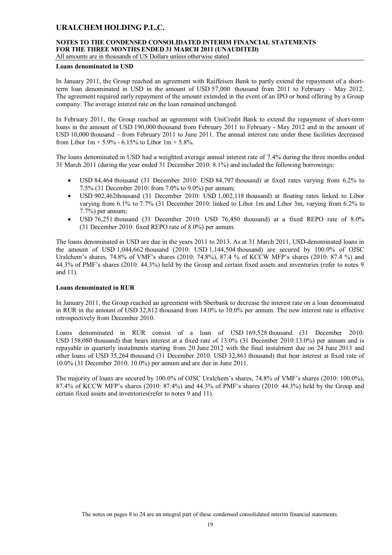### **NOTES TO THE CONDENSED CONSOLIDATED INTERIM FINANCIAL STATEMENTS FOR THE THREE MONTHS ENDED 31 MARCH 2011 (UNAUDITED)**

All amounts are in thousands of US Dollars unless otherwise stated

#### **Loans denominated in USD**

In January 2011, the Group reached an agreement with Raiffeisen Bank to partly extend the repayment of a shortterm loan denominated in USD in the amount of USD 57,000 thousand from 2011 to February – May 2012. The agreement required early repayment of the amount extended in the event of an IPO or bond offering by a Group company. The average interest rate on the loan remained unchanged.

In February 2011, the Group reached an agreement with UniCredit Bank to extend the repayment of short-term loans in the amount of USD 190,000 thousand from February 2011 to February - May 2012 and in the amount of USD 10,000 thousand – from February 2011 to June 2011. The annual interest rate under these facilities decreased from Libor  $1m + 5.9\% - 6.15\%$  to Libor  $1m + 5.8\%$ .

The loans denominated in USD had a weighted average annual interest rate of 7.4% during the three months ended 31 March 2011 (during the year ended 31 December 2010: 8.1%) and included the following borrowings:

- USD 84,464 thousand (31 December 2010: USD 84,797 thousand) at fixed rates varying from 6.2% to 7.5% (31 December 2010: from 7.0% to 9.0%) per annum;
- USD 902,462thousand (31 December 2010: USD 1,002,118 thousand) at floating rates linked to Libor varying from 6.1% to 7.7% (31 December 2010: linked to Libor 1m and Libor 3m, varying from 6.2% to 7.7%) per annum;
- USD 76,251 thousand (31 December 2010: USD 76,450 thousand) at a fixed REPO rate of 8.0% (31 December 2010: fixed REPO rate of 8.0%) per annum.

The loans denominated in USD are due in the years 2011 to 2013. As at 31 March 2011, USD-denominated loans in the amount of USD 1,044,662 thousand (2010: USD 1,144,504 thousand) are secured by 100.0% of OJSC Uralchem's shares, 74.8% of VMF's shares (2010: 74.8%), 87.4 % of KCCW MFP's shares (2010: 87.4 %) and 44.3% of PMF's shares (2010: 44.3%) held by the Group and certain fixed assets and inventories (refer to notes 9 and 11).

#### **Loans denominated in RUR**

In January 2011, the Group reached an agreement with Sberbank to decrease the interest rate on a loan denominated in RUR in the amount of USD 32,812 thousand from 14.0% to 10.0% per annum. The new interest rate is effective retrospectively from December 2010.

Loans denominated in RUR consist of a loan of USD 169,528 thousand (31 December 2010: USD 158,080 thousand) that bears interest at a fixed rate of 13.0% (31 December 2010:13.0%) per annum and is repayable in quarterly instalments starting from 20 June 2012 with the final instalment due on 24 June 2013 and other loans of USD 35,264 thousand (31 December 2010: USD 32,861 thousand) that bear interest at fixed rate of 10.0% (31 December 2010: 10.0%) per annum and are due in June 2011.

The majority of loans are secured by 100.0% of OJSC Uralchem's shares, 74.8% of VMF's shares (2010: 100.0%), 87.4% of KCCW MFP's shares (2010: 87.4%) and 44.3% of PMF's shares (2010: 44.3%) held by the Group and certain fixed assets and inventories(refer to notes 9 and 11).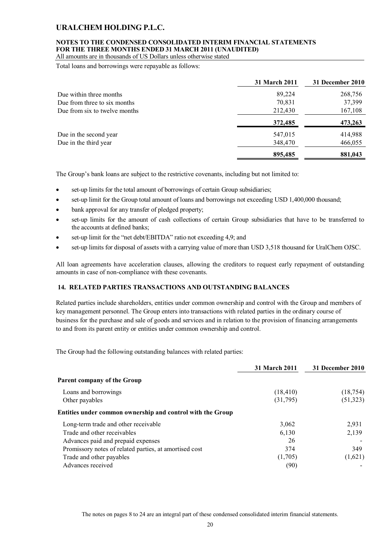### **NOTES TO THE CONDENSED CONSOLIDATED INTERIM FINANCIAL STATEMENTS FOR THE THREE MONTHS ENDED 31 MARCH 2011 (UNAUDITED)**

All amounts are in thousands of US Dollars unless otherwise stated

Total loans and borrowings were repayable as follows:

|                               | <b>31 March 2011</b> | 31 December 2010 |
|-------------------------------|----------------------|------------------|
| Due within three months       | 89,224               | 268,756          |
| Due from three to six months  | 70,831               | 37,399           |
| Due from six to twelve months | 212,430              | 167,108          |
|                               | 372,485              | 473,263          |
| Due in the second year        | 547,015              | 414,988          |
| Due in the third year         | 348,470              | 466,055          |
|                               | 895,485              | 881,043          |

The Group's bank loans are subject to the restrictive covenants, including but not limited to:

- set-up limits for the total amount of borrowings of certain Group subsidiaries;
- set-up limit for the Group total amount of loans and borrowings not exceeding USD 1,400,000 thousand;
- bank approval for any transfer of pledged property;
- set-up limits for the amount of cash collections of certain Group subsidiaries that have to be transferred to the accounts at defined banks;
- set-up limit for the "net debt/EBITDA" ratio not exceeding 4,9; and
- set-up limits for disposal of assets with a carrying value of more than USD 3,518 thousand for UralChem OJSC.

All loan agreements have acceleration clauses, allowing the creditors to request early repayment of outstanding amounts in case of non-compliance with these covenants.

### **14. RELATED PARTIES TRANSACTIONS AND OUTSTANDING BALANCES**

Related parties include shareholders, entities under common ownership and control with the Group and members of key management personnel. The Group enters into transactions with related parties in the ordinary course of business for the purchase and sale of goods and services and in relation to the provision of financing arrangements to and from its parent entity or entities under common ownership and control.

The Group had the following outstanding balances with related parties:

|                                                            | <b>31 March 2011</b> | 31 December 2010 |
|------------------------------------------------------------|----------------------|------------------|
| <b>Parent company of the Group</b>                         |                      |                  |
| Loans and borrowings                                       | (18, 410)            | (18, 754)        |
| Other payables                                             | (31,795)             | (51, 323)        |
| Entities under common ownership and control with the Group |                      |                  |
| Long-term trade and other receivable                       | 3,062                | 2.931            |
| Trade and other receivables                                | 6,130                | 2,139            |
| Advances paid and prepaid expenses                         | 26                   |                  |
| Promissory notes of related parties, at amortised cost     | 374                  | 349              |
| Trade and other payables                                   | (1,705)              | (1,621)          |
| Advances received                                          | (90)                 |                  |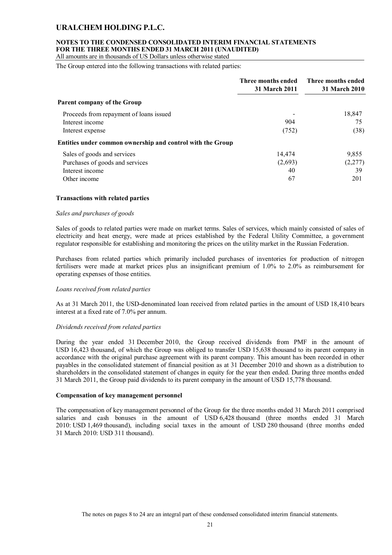### **NOTES TO THE CONDENSED CONSOLIDATED INTERIM FINANCIAL STATEMENTS FOR THE THREE MONTHS ENDED 31 MARCH 2011 (UNAUDITED)**

All amounts are in thousands of US Dollars unless otherwise stated

The Group entered into the following transactions with related parties:

|                                                            | Three months ended<br><b>31 March 2011</b> | Three months ended<br><b>31 March 2010</b> |
|------------------------------------------------------------|--------------------------------------------|--------------------------------------------|
| Parent company of the Group                                |                                            |                                            |
| Proceeds from repayment of loans issued                    |                                            | 18,847                                     |
| Interest income                                            | 904                                        | 75                                         |
| Interest expense                                           | (752)                                      | (38)                                       |
| Entities under common ownership and control with the Group |                                            |                                            |
| Sales of goods and services                                | 14,474                                     | 9,855                                      |
| Purchases of goods and services                            | (2,693)                                    | (2,277)                                    |
| Interest income                                            | 40                                         | 39                                         |
| Other income                                               | 67                                         | 201                                        |

#### **Transactions with related parties**

#### *Sales and purchases of goods*

Sales of goods to related parties were made on market terms. Sales of services, which mainly consisted of sales of electricity and heat energy, were made at prices established by the Federal Utility Committee, a government regulator responsible for establishing and monitoring the prices on the utility market in the Russian Federation.

Purchases from related parties which primarily included purchases of inventories for production of nitrogen fertilisers were made at market prices plus an insignificant premium of 1.0% to 2.0% as reimbursement for operating expenses of those entities.

#### *Loans received from related parties*

As at 31 March 2011, the USD-denominated loan received from related parties in the amount of USD 18,410 bears interest at a fixed rate of 7.0% per annum.

#### *Dividends received from related parties*

During the year ended 31 December 2010, the Group received dividends from PMF in the amount of USD 16,423 thousand, of which the Group was obliged to transfer USD 15,638 thousand to its parent company in accordance with the original purchase agreement with its parent company. This amount has been recorded in other payables in the consolidated statement of financial position as at 31 December 2010 and shown as a distribution to shareholders in the consolidated statement of changes in equity for the year then ended. During three months ended 31 March 2011, the Group paid dividends to its parent company in the amount of USD 15,778 thousand.

#### **Compensation of key management personnel**

The compensation of key management personnel of the Group for the three months ended 31 March 2011 comprised salaries and cash bonuses in the amount of USD 6,428 thousand (three months ended 31 March 2010: USD 1,469 thousand), including social taxes in the amount of USD 280 thousand (three months ended 31 March 2010: USD 311 thousand).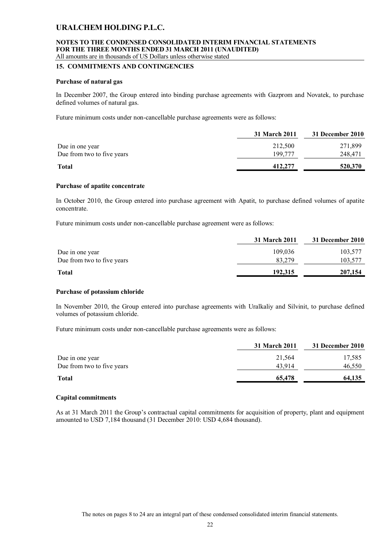#### **NOTES TO THE CONDENSED CONSOLIDATED INTERIM FINANCIAL STATEMENTS FOR THE THREE MONTHS ENDED 31 MARCH 2011 (UNAUDITED)** All amounts are in thousands of US Dollars unless otherwise stated

#### **15. COMMITMENTS AND CONTINGENCIES**

#### **Purchase of natural gas**

In December 2007, the Group entered into binding purchase agreements with Gazprom and Novatek, to purchase defined volumes of natural gas.

Future minimum costs under non-cancellable purchase agreements were as follows:

|                            | 31 March 2011 | 31 December 2010 |
|----------------------------|---------------|------------------|
| Due in one year            | 212,500       | 271,899          |
| Due from two to five years | 199.777       | 248,471          |
| <b>Total</b>               | 412,277       | 520,370          |

#### **Purchase of apatite concentrate**

In October 2010, the Group entered into purchase agreement with Apatit, to purchase defined volumes of apatite concentrate.

Future minimum costs under non-cancellable purchase agreement were as follows:

|                            | 31 March 2011 | 31 December 2010 |
|----------------------------|---------------|------------------|
| Due in one year            | 109.036       | 103,577          |
| Due from two to five years | 83.279        | 103,577          |
| <b>Total</b>               | 192.315       | 207,154          |

#### **Purchase of potassium chloride**

In November 2010, the Group entered into purchase agreements with Uralkaliy and Silvinit, to purchase defined volumes of potassium chloride.

Future minimum costs under non-cancellable purchase agreements were as follows:

|                            | 31 March 2011 | 31 December 2010 |
|----------------------------|---------------|------------------|
| Due in one year            | 21,564        | 17,585           |
| Due from two to five years | 43.914        | 46,550           |
| <b>Total</b>               | 65,478        | 64,135           |

#### **Capital commitments**

As at 31 March 2011 the Group's contractual capital commitments for acquisition of property, plant and equipment amounted to USD 7,184 thousand (31 December 2010: USD 4,684 thousand).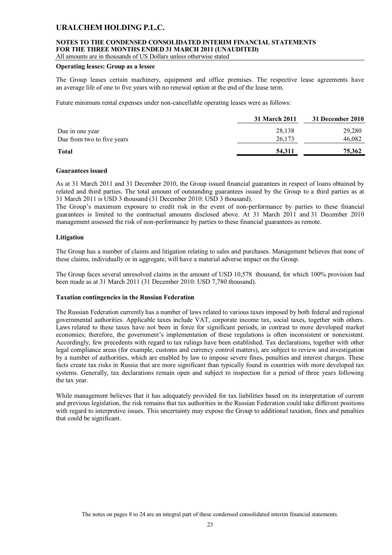### **NOTES TO THE CONDENSED CONSOLIDATED INTERIM FINANCIAL STATEMENTS FOR THE THREE MONTHS ENDED 31 MARCH 2011 (UNAUDITED)**

All amounts are in thousands of US Dollars unless otherwise stated

#### **Operating leases: Group as a lessee**

The Group leases certain machinery, equipment and office premises. The respective lease agreements have an average life of one to five years with no renewal option at the end of the lease term.

Future minimum rental expenses under non-cancellable operating leases were as follows:

|                            | 31 March 2011 | 31 December 2010 |
|----------------------------|---------------|------------------|
| Due in one year            | 28,138        | 29,280           |
| Due from two to five years | 26,173        | 46,082           |
| <b>Total</b>               | 54,311        | 75,362           |

#### **Guarantees issued**

As at 31 March 2011 and 31 December 2010, the Group issued financial guarantees in respect of loans obtained by related and third parties. The total amount of outstanding guarantees issued by the Group to a third parties as at 31 March 2011 is USD 3 thousand (31 December 2010: USD 3 thousand).

The Group's maximum exposure to credit risk in the event of non-performance by parties to these financial guarantees is limited to the contractual amounts disclosed above. At 31 March 2011 and 31 December 2010 management assessed the risk of non-performance by parties to these financial guarantees as remote.

#### **Litigation**

The Group has a number of claims and litigation relating to sales and purchases. Management believes that none of these claims, individually or in aggregate, will have a material adverse impact on the Group.

The Group faces several unresolved claims in the amount of USD 10,578 thousand, for which 100% provision had been made as at 31 March 2011 (31 December 2010: USD 7,780 thousand).

#### **Taxation contingencies in the Russian Federation**

The Russian Federation currently has a number of laws related to various taxes imposed by both federal and regional governmental authorities. Applicable taxes include VAT, corporate income tax, social taxes, together with others. Laws related to these taxes have not been in force for significant periods, in contrast to more developed market economies; therefore, the government's implementation of these regulations is often inconsistent or nonexistent. Accordingly, few precedents with regard to tax rulings have been established. Tax declarations, together with other legal compliance areas (for example, customs and currency control matters), are subject to review and investigation by a number of authorities, which are enabled by law to impose severe fines, penalties and interest charges. These facts create tax risks in Russia that are more significant than typically found in countries with more developed tax systems. Generally, tax declarations remain open and subject to inspection for a period of three years following the tax year.

While management believes that it has adequately provided for tax liabilities based on its interpretation of current and previous legislation, the risk remains that tax authorities in the Russian Federation could take different positions with regard to interpretive issues. This uncertainty may expose the Group to additional taxation, fines and penalties that could be significant.